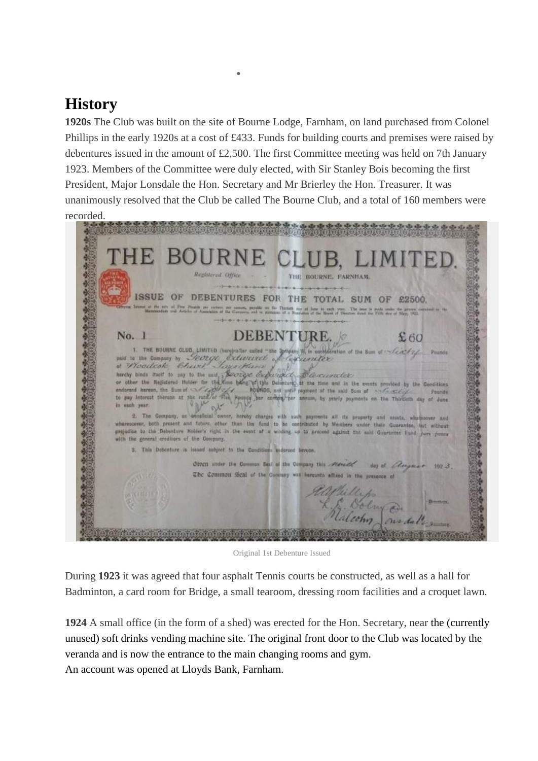## **History**

**1920s** The Club was built on the site of Bourne Lodge, Farnham, on land purchased from Colonel Phillips in the early 1920s at a cost of £433. Funds for building courts and premises were raised by debentures issued in the amount of £2,500. The first Committee meeting was held on 7th January 1923. Members of the Committee were duly elected, with Sir Stanley Bois becoming the first President, Major Lonsdale the Hon. Secretary and Mr Brierley the Hon. Treasurer. It was unanimously resolved that the Club be called The Bourne Club, and a total of 160 members were re[corded.](http://www.bourneclub.co.uk/wp-content/uploads/2011/08/debenture.jpg)

• [History](http://www.bourneclub.co.uk/history/)

| THE BOURNE CLUB, LIMITED.<br>Registered Office<br>THE ROURNE, FARNHAM.                                                                                                                                                                                                                                                                                                                                                                                                                                                                                                                                                                                                                                                                                                                                                                                                                                                                                                                                                                                                                                                                                               |
|----------------------------------------------------------------------------------------------------------------------------------------------------------------------------------------------------------------------------------------------------------------------------------------------------------------------------------------------------------------------------------------------------------------------------------------------------------------------------------------------------------------------------------------------------------------------------------------------------------------------------------------------------------------------------------------------------------------------------------------------------------------------------------------------------------------------------------------------------------------------------------------------------------------------------------------------------------------------------------------------------------------------------------------------------------------------------------------------------------------------------------------------------------------------|
| only and consideration to be a complete distribution of the<br>ISSUE OF DEBENTURES FOR THE TOTAL SUM OF £2500.<br>Official Issues of the city of Pough per costern, no someon, parallo no the Thankh car at long is each year. The mas is made under the process contribut to the Manusculus of the Coreanors and to processe of a Pondation of                                                                                                                                                                                                                                                                                                                                                                                                                                                                                                                                                                                                                                                                                                                                                                                                                      |
| <b>DEBENTURE.</b><br>No. 1<br>£60<br>1. THE BOURNE GLUB, LIMITED (hareinalter called "the Softens H, in consideration of the Sum of :~ (ext/ext. Pounds<br>puid to the Company by Secrete Exteriored of Conservator<br>of Woodcoke Church Janackano<br>hereby binds trust to pay to the mid, Receive experience, Descuractor,<br>or other the Registered Holder for the time bang of this Detenture, at the time and in the events provided by the Conditions<br>andorsed harvon, the Sum of September 1994 - Abundos, and until payment of the said Sum of Anthony County<br>Pounds<br>to pay leterest thereon at the rate of "Fish Rounds ber certain her annum, by yearly payments on the Thirtieth day of June<br>in each year.<br>2. The Gompzey, as beneficial owner, hereby charges with such supports all its property and assets, who hoover and<br>wherescever, both prosent and future, other than the fund to be contributed by Members under their Guerantee, tast without<br>prejudice to the Debenture Holder's right in the event of a widing on to proceed against the sald Guarantee Fund jure peace<br>with the general creditors of the Company. |
| 3. This Debenture is issued subject to the Conditions expersed beroon.<br>Ofteen under the Common Seal of the Company this Needle day of Clargerat 1973.                                                                                                                                                                                                                                                                                                                                                                                                                                                                                                                                                                                                                                                                                                                                                                                                                                                                                                                                                                                                             |
| The Common Seal of the Gomany was become allived in the presence of<br>Alliller for and the man                                                                                                                                                                                                                                                                                                                                                                                                                                                                                                                                                                                                                                                                                                                                                                                                                                                                                                                                                                                                                                                                      |

Original 1st Debenture Issued

During **1923** it was agreed that four asphalt Tennis courts be constructed, as well as a hall for Badminton, a card room for Bridge, a small tearoom, dressing room facilities and a croquet lawn.

**1924** A small office (in the form of a shed) was erected for the Hon. Secretary, near the (currently unused) soft drinks vending machine site. The original front door to the Club was located by the veranda and is now the entrance to the main changing rooms and gym. An account was opened at Lloyds Bank, Farnham.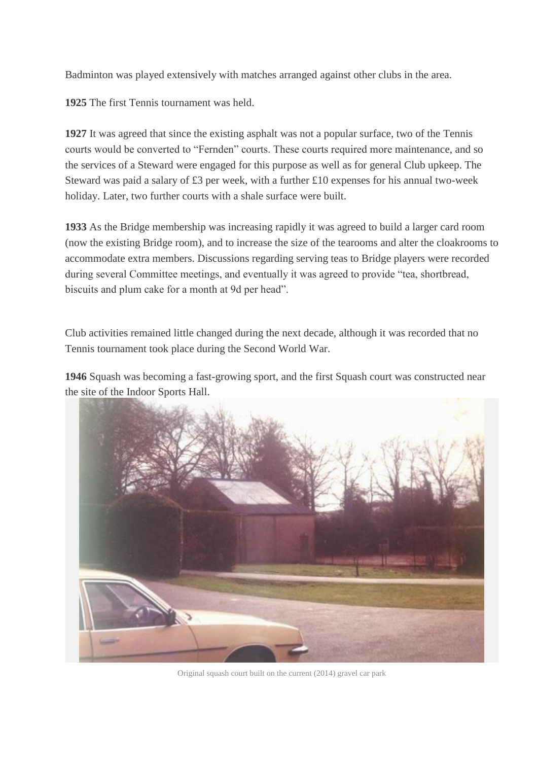Badminton was played extensively with matches arranged against other clubs in the area.

**1925** The first Tennis tournament was held.

**1927** It was agreed that since the existing asphalt was not a popular surface, two of the Tennis courts would be converted to "Fernden" courts. These courts required more maintenance, and so the services of a Steward were engaged for this purpose as well as for general Club upkeep. The Steward was paid a salary of £3 per week, with a further £10 expenses for his annual two-week holiday. Later, two further courts with a shale surface were built.

**1933** As the Bridge membership was increasing rapidly it was agreed to build a larger card room (now the existing Bridge room), and to increase the size of the tearooms and alter the cloakrooms to accommodate extra members. Discussions regarding serving teas to Bridge players were recorded during several Committee meetings, and eventually it was agreed to provide "tea, shortbread, biscuits and plum cake for a month at 9d per head".

Club activities remained little changed during the next decade, although it was recorded that no Tennis tournament took place during the Second World War.

**1946** Squash was becoming a fast-growing sport, and the first Squash court was constructed near the [site of the Indoor Sports Hall.](http://www.bourneclub.co.uk/wp-content/uploads/2011/08/squashcourts.jpg)



Original squash court built on the current (2014) gravel car park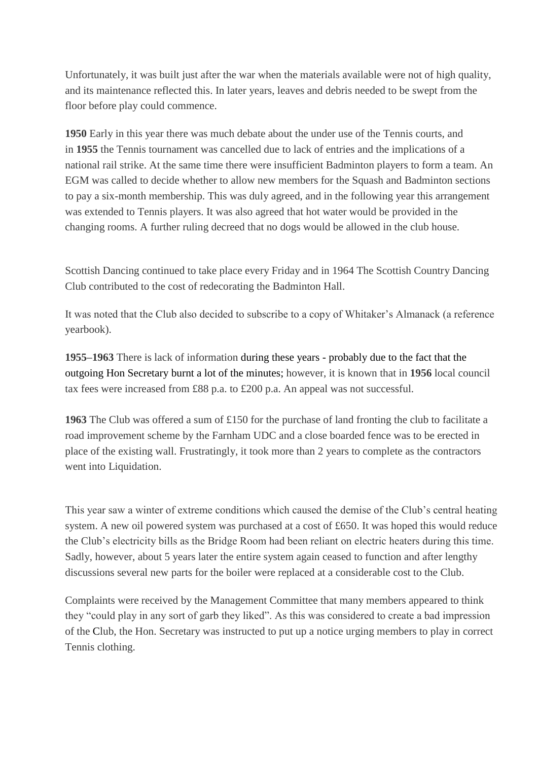Unfortunately, it was built just after the war when the materials available were not of high quality, and its maintenance reflected this. In later years, leaves and debris needed to be swept from the floor before play could commence.

**1950** Early in this year there was much debate about the under use of the Tennis courts, and in **1955** the Tennis tournament was cancelled due to lack of entries and the implications of a national rail strike. At the same time there were insufficient Badminton players to form a team. An EGM was called to decide whether to allow new members for the Squash and Badminton sections to pay a six-month membership. This was duly agreed, and in the following year this arrangement was extended to Tennis players. It was also agreed that hot water would be provided in the changing rooms. A further ruling decreed that no dogs would be allowed in the club house.

Scottish Dancing continued to take place every Friday and in 1964 The Scottish Country Dancing Club contributed to the cost of redecorating the Badminton Hall.

It was noted that the Club also decided to subscribe to a copy of Whitaker's Almanack (a reference yearbook).

**1955–1963** There is lack of information during these years - probably due to the fact that the outgoing Hon Secretary burnt a lot of the minutes; however, it is known that in **1956** local council tax fees were increased from £88 p.a. to £200 p.a. An appeal was not successful.

**1963** The Club was offered a sum of £150 for the purchase of land fronting the club to facilitate a road improvement scheme by the Farnham UDC and a close boarded fence was to be erected in place of the existing wall. Frustratingly, it took more than 2 years to complete as the contractors went into Liquidation.

This year saw a winter of extreme conditions which caused the demise of the Club's central heating system. A new oil powered system was purchased at a cost of £650. It was hoped this would reduce the Club's electricity bills as the Bridge Room had been reliant on electric heaters during this time. Sadly, however, about 5 years later the entire system again ceased to function and after lengthy discussions several new parts for the boiler were replaced at a considerable cost to the Club.

Complaints were received by the Management Committee that many members appeared to think they "could play in any sort of garb they liked". As this was considered to create a bad impression of the Club, the Hon. Secretary was instructed to put up a notice urging members to play in correct Tennis clothing.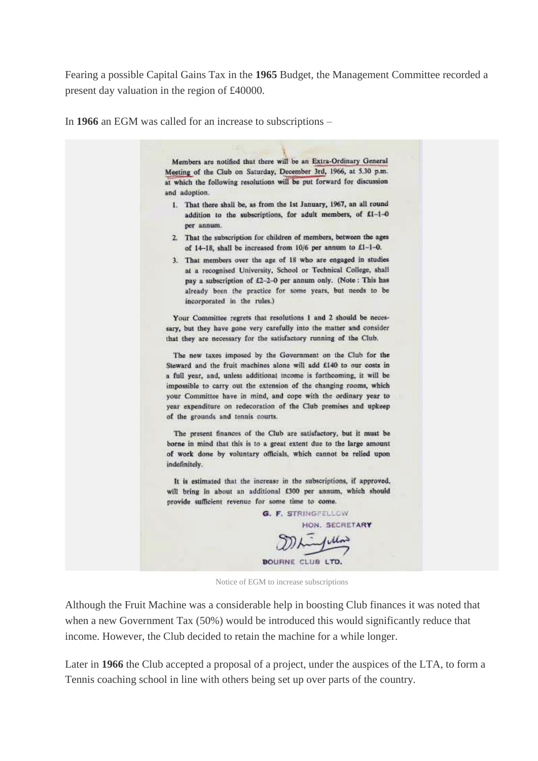Fearing a possible Capital Gains Tax in the **1965** Budget, the Management Committee recorded a present day valuation in the region of £40000.

In **1966** an EGM was called for an increase to subscriptions –

Members are notified that there will be an Extra-Ordinary General Meeting of the Club on Saturday, December 3rd, 1966, at 5.30 p.m. at which the following resolutions will be put forward for discussion and adoption. 1. That there shall be, as from the 1st January, 1967, an all round addition to the subscriptions, for adult members, of £1-1-0 per annum. 2. That the subscription for children of members, between the ages of 14-18, shall be increased from 10/6 per annum to £1-1-0. 3. That members over the age of 18 who are engaged in studies at a recognised University, School or Technical College, shall pay a subscription of £2-2-0 per annum only. (Note: This has already been the practice for some years, but needs to be incorporated in the rules.) Your Committee regrets that resolutions 1 and 2 should be necessary, but they have gone very carefully into the matter and consider that they are necessary for the satisfactory running of the Club. The new taxes imposed by the Government on the Club for the Steward and the fruit machines alone will add £140 to our costs in a full year, and, unless additional income is forthcoming, it will be impossible to carry out the extension of the changing rooms, which your Committee have in mind, and cope with the ordinary year to year expenditure on redecoration of the Club premises and upkeep of the grounds and tennis courts. The present finances of the Club are satisfactory, but it must be borne in mind that this is to a great extent due to the large amount of work done by voluntary officials, which cannot be relied upon indefinitely. It is estimated that the increase in the subscriptions, if approved, will bring in about an additional £300 per annum, which should provide sufficient revenue for some time to come. **G. F. STRINGFELLOW** HON. SECRETARY ullow **BOURNE CLUB LTD.** 

Notice of EGM to increase subscriptions

Although the Fruit Machine was a considerable help in boosting Club finances it was noted that when a new Government Tax (50%) would be introduced this would significantly reduce that income. However, the Club decided to retain the machine for a while longer.

Later in **1966** the Club accepted a proposal of a project, under the auspices of the LTA, to form a Tennis coaching school in line with others being set up over parts of the country.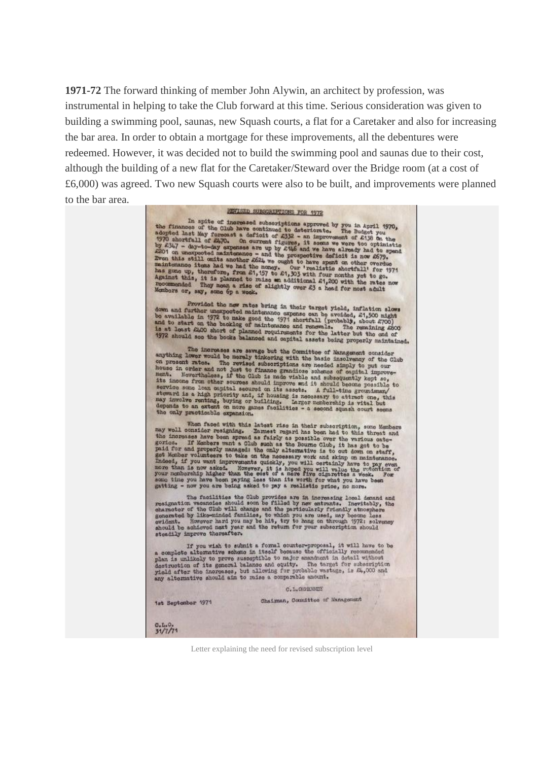**1971-72** The forward thinking of member John Alywin, an architect by profession, was instrumental in helping to take the Club forward at this time. Serious consideration was given to building a swimming pool, saunas, new Squash courts, a flat for a Caretaker and also for increasing the bar area. In order to obtain a mortgage for these improvements, all the debentures were redeemed. However, it was decided not to build the swimming pool and saunas due to their cost, although the building of a new flat for the Caretaker/Steward over the Bridge room (at a cost of £6,000) was agreed. Two new Squash courts were also to be built, and improvements were planned to the bar area.

# REVISED SUBSCRIPTIONS FOR 1972 In spite of increased subscriptions row. 1972<br>the finances of the Clincoreased subscriptions approved by you in April 1970,<br>adopted last May forecast a deficit of £332 - an improvement of £136 on the<br>1970 shortfall of £47 Provided the new rates bring in their target yield, inflation slows Provided the new rates bring in their target yield, inflation slows<br>down and further unexpected maintenance expense can be avoided, £1,500 might<br>be available in 1972 to make good the 1971 abortfull (probably, about £700)<br>a The increases are savegable to the Committee of Management consider<br>anything lower would be merely tinkoring with the basic insolate consider<br>on prosent rates. The revised subscriptions are needed simply to put our<br>heads i When faced with this latest rise in their subscription, some Members<br>may woll consider resigning. Ennest regard has been had to this threat and<br>the increases have been spreed as fuirly as possible over the various cate-<br>go gatting - now you are being asked to pay a realistic prior, no more.<br>The facilities the Club provides are in increasing local demand and<br>resignation vacanoics should soon be filled by new entrants. Inevitably, the<br>characte If you wish to submit a formal counter-proposal, it will have to be<br>a complete alternative scheme in itself bosness the officially recommended<br>plan is unlikely to prove susceptible to major encandent in detail without<br>def  $C, L, \alpha$  a value of  $C$ Chairman, Countitue of Management 1st September 1971  $0.1.0.$ <br>31/7/71

Letter explaining the need for revised subscription level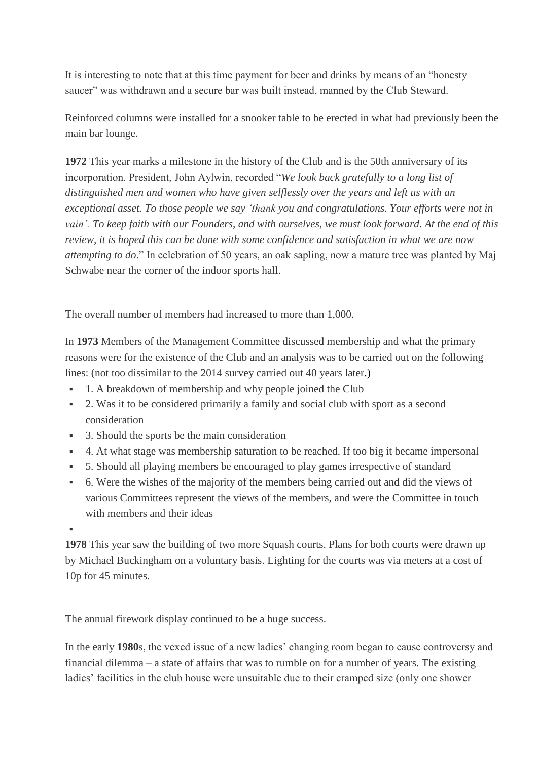It is interesting to note that at this time payment for beer and drinks by means of an "honesty saucer" was withdrawn and a secure bar was built instead, manned by the Club Steward.

Reinforced columns were installed for a snooker table to be erected in what had previously been the main bar lounge.

**1972** This year marks a milestone in the history of the Club and is the 50th anniversary of its incorporation. President, John Aylwin, recorded "*We look back gratefully to a long list of distinguished men and women who have given selflessly over the years and left us with an exceptional asset. To those people we say 'thank you and congratulations. Your efforts were not in* vain'. To keep faith with our Founders, and with ourselves, we must look forward. At the end of this *review, it is hoped this can be done with some confidence and satisfaction in what we are now attempting to do*." In celebration of 50 years, an oak sapling, now a mature tree was planted by Maj Schwabe near the corner of the indoor sports hall.

The overall number of members had increased to more than 1,000.

In **1973** Members of the Management Committee discussed membership and what the primary reasons were for the existence of the Club and an analysis was to be carried out on the following lines: (not too dissimilar to the 2014 survey carried out 40 years later.)

- 1. A breakdown of membership and why people joined the Club
- 2. Was it to be considered primarily a family and social club with sport as a second consideration
- 3. Should the sports be the main consideration
- 4. At what stage was membership saturation to be reached. If too big it became impersonal
- 5. Should all playing members be encouraged to play games irrespective of standard
- 6. Were the wishes of the majority of the members being carried out and did the views of various Committees represent the views of the members, and were the Committee in touch with members and their ideas

▪

**1978** This year saw the building of two more Squash courts. Plans for both courts were drawn up by Michael Buckingham on a voluntary basis. Lighting for the courts was via meters at a cost of 10p for 45 minutes.

The annual firework display continued to be a huge success.

In the early **1980**s, the vexed issue of a new ladies' changing room began to cause controversy and financial dilemma – a state of affairs that was to rumble on for a number of years. The existing ladies' facilities in the club house were unsuitable due to their cramped size (only one shower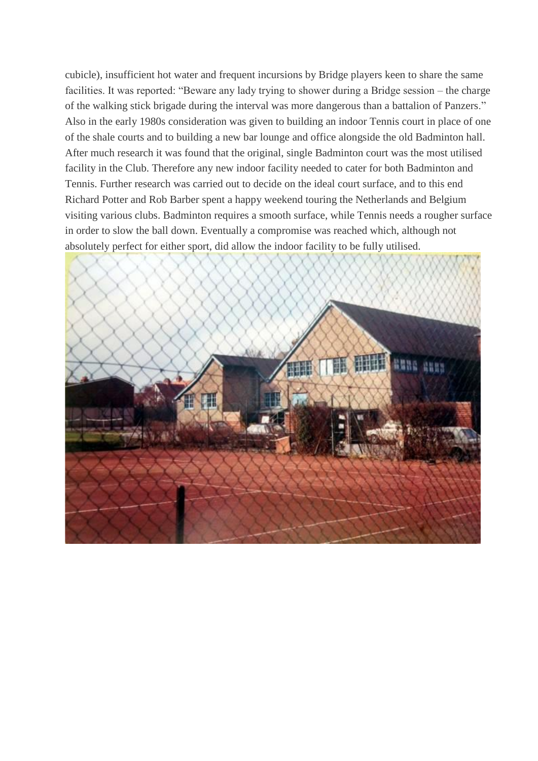cubicle), insufficient hot water and frequent incursions by Bridge players keen to share the same facilities. It was reported: "Beware any lady trying to shower during a Bridge session – the charge of the walking stick brigade during the interval was more dangerous than a battalion of Panzers." Also in the early 1980s consideration was given to building an indoor Tennis court in place of one of the shale courts and to building a new bar lounge and office alongside the old Badminton hall. After much research it was found that the original, single Badminton court was the most utilised facility in the Club. Therefore any new indoor facility needed to cater for both Badminton and Tennis. Further research was carried out to decide on the ideal court surface, and to this end Richard Potter and Rob Barber spent a happy weekend touring the Netherlands and Belgium visiting various clubs. Badminton requires a smooth surface, while Tennis needs a rougher surface in order to slow the ball down. Eventually a compromise was reached which, although not absolutely perfect for either sport, did allow the indoor facility to be fully utilised.

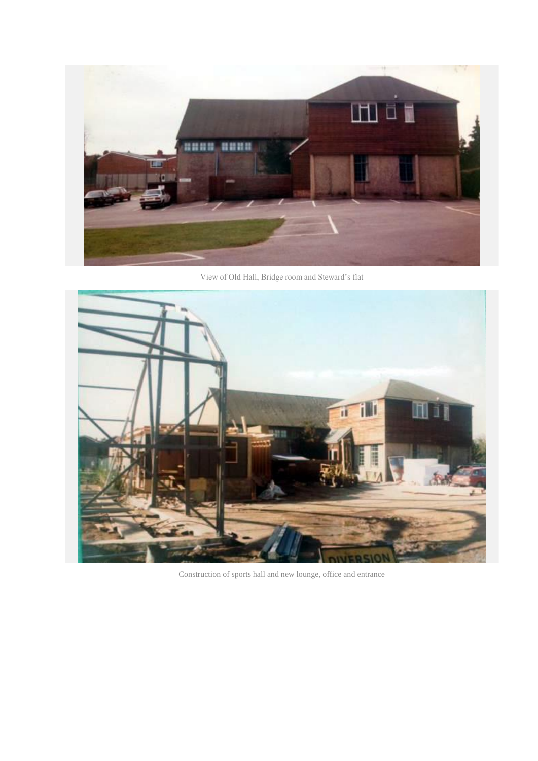

View of Old Hall, Bridge room and Steward's flat



Construction of sports hall and new lounge, office and entrance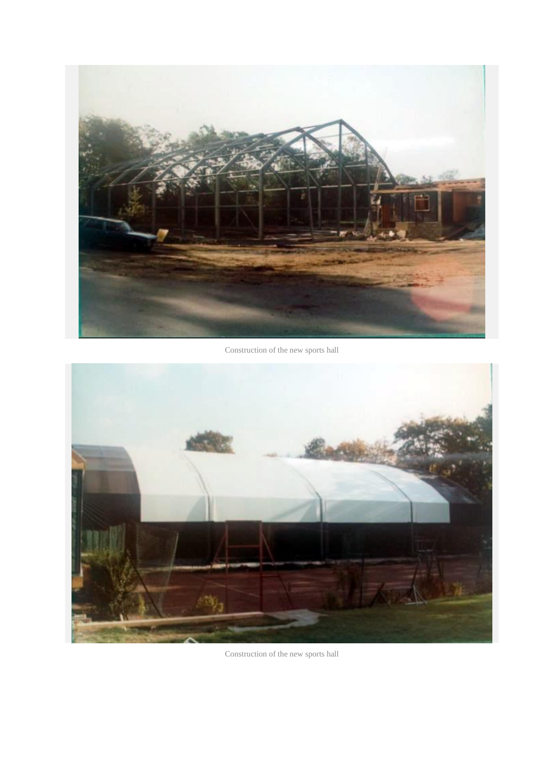

Construction of the new sports hall



Construction of the new sports hall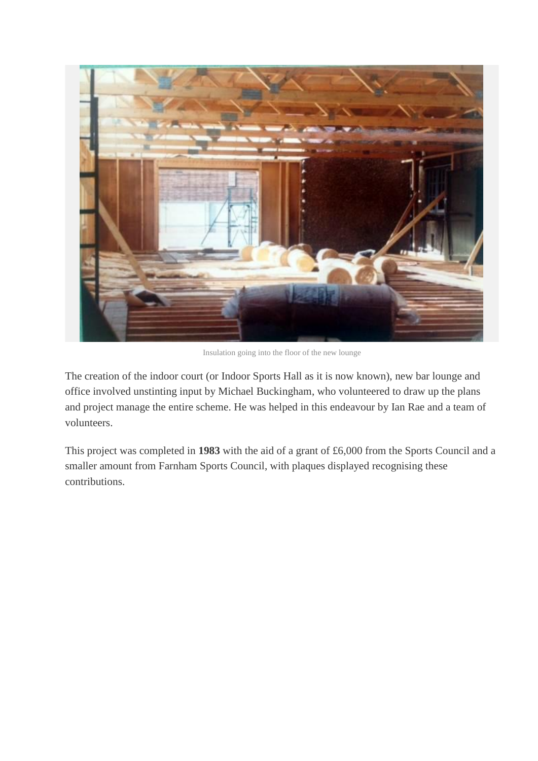

Insulation going into the floor of the new lounge

The creation of the indoor court (or Indoor Sports Hall as it is now known), new bar lounge and office involved unstinting input by Michael Buckingham, who volunteered to draw up the plans and project manage the entire scheme. He was helped in this endeavour by Ian Rae and a team of volunteers.

This project was completed in **1983** with the aid of a grant of £6,000 from the Sports Council and a smaller amount from Farnham Sports Council, with plaques displayed recognising these contributions.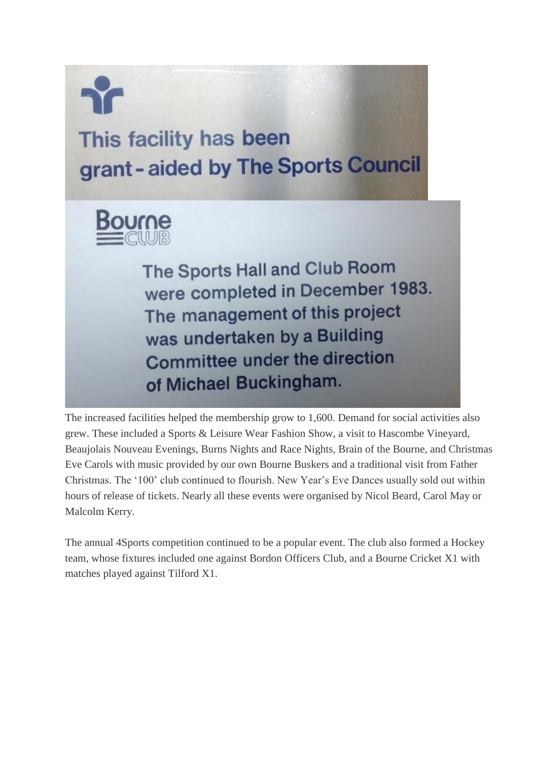

# This facility has been grant-aided by The Sports Council



The Sports Hall and Club Room were completed in December 1983. The management of this project was undertaken by a Building Committee under the direction of Michael Buckingham.

The increased facilities helped the membership grow to 1,600. Demand for social activities also grew. These included a Sports & Leisure Wear Fashion Show, a visit to Hascombe Vineyard, Beaujolais Nouveau Evenings, Burns Nights and Race Nights, Brain of the Bourne, and Christmas Eve Carols with music provided by our own Bourne Buskers and a traditional visit from Father Christmas. The '100' club continued to flourish. New Year's Eve Dances usually sold out within hours of release of tickets. Nearly all these events were organised by Nicol Beard, Carol May or Malcolm Kerry.

The annual 4Sports competition continued to be a popular event. The club also formed a Hockey team, whose fixtures included one against Bordon Officers Club, and a Bourne Cricket X1 with matches played against Tilford X1.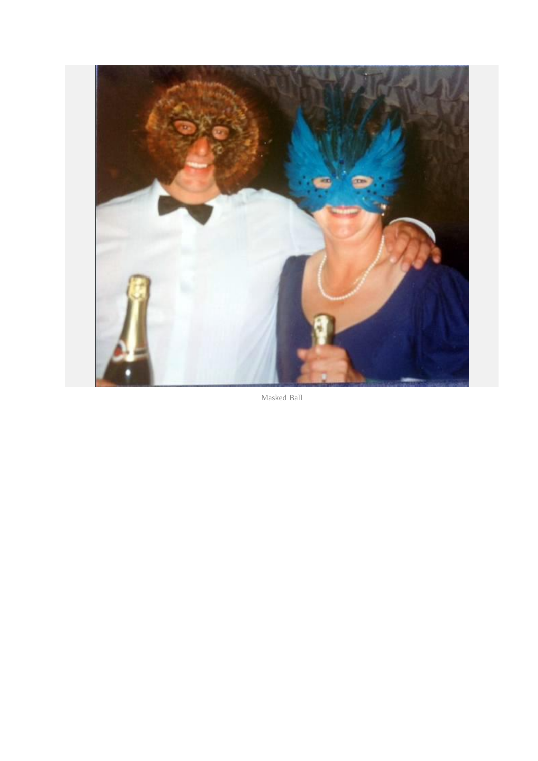

Masked Ball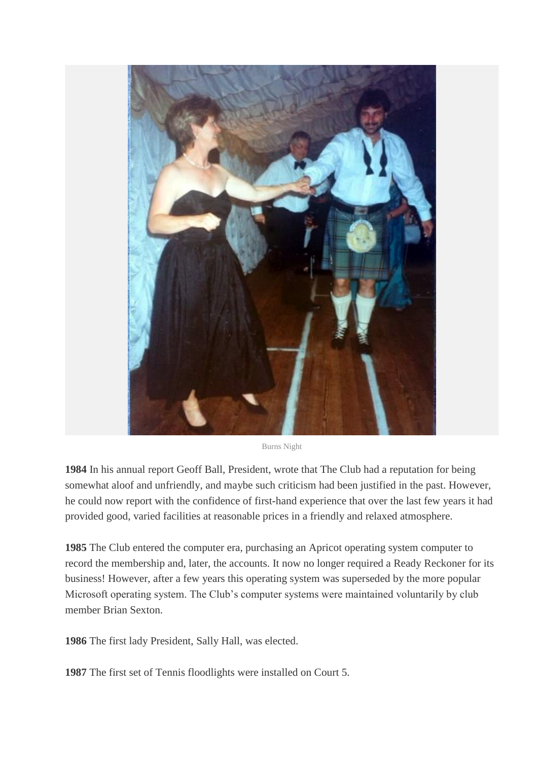

Burns Night

**1984** In his annual report Geoff Ball, President, wrote that The Club had a reputation for being somewhat aloof and unfriendly, and maybe such criticism had been justified in the past. However, he could now report with the confidence of first-hand experience that over the last few years it had provided good, varied facilities at reasonable prices in a friendly and relaxed atmosphere.

**1985** The Club entered the computer era, purchasing an Apricot operating system computer to record the membership and, later, the accounts. It now no longer required a Ready Reckoner for its business! However, after a few years this operating system was superseded by the more popular Microsoft operating system. The Club's computer systems were maintained voluntarily by club member Brian Sexton.

**1986** The first lady President, Sally Hall, was elected.

**1987** The first set of Tennis floodlights were installed on Court 5.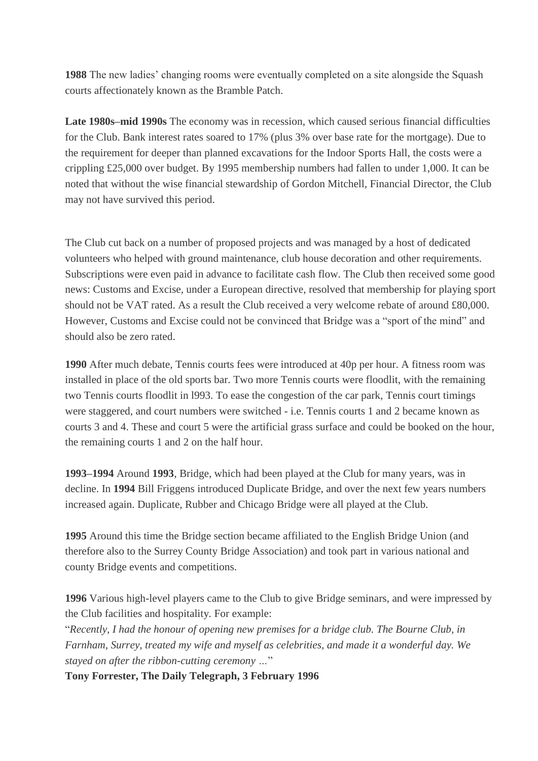**1988** The new ladies' changing rooms were eventually completed on a site alongside the Squash courts affectionately known as the Bramble Patch.

**Late 1980s–mid 1990s** The economy was in recession, which caused serious financial difficulties for the Club. Bank interest rates soared to 17% (plus 3% over base rate for the mortgage). Due to the requirement for deeper than planned excavations for the Indoor Sports Hall, the costs were a crippling £25,000 over budget. By 1995 membership numbers had fallen to under 1,000. It can be noted that without the wise financial stewardship of Gordon Mitchell, Financial Director, the Club may not have survived this period.

The Club cut back on a number of proposed projects and was managed by a host of dedicated volunteers who helped with ground maintenance, club house decoration and other requirements. Subscriptions were even paid in advance to facilitate cash flow. The Club then received some good news: Customs and Excise, under a European directive, resolved that membership for playing sport should not be VAT rated. As a result the Club received a very welcome rebate of around £80,000. However, Customs and Excise could not be convinced that Bridge was a "sport of the mind" and should also be zero rated.

**1990** After much debate, Tennis courts fees were introduced at 40p per hour. A fitness room was installed in place of the old sports bar. Two more Tennis courts were floodlit, with the remaining two Tennis courts floodlit in l993. To ease the congestion of the car park, Tennis court timings were staggered, and court numbers were switched - i.e. Tennis courts 1 and 2 became known as courts 3 and 4. These and court 5 were the artificial grass surface and could be booked on the hour, the remaining courts 1 and 2 on the half hour.

**1993–1994** Around **1993**, Bridge, which had been played at the Club for many years, was in decline. In **1994** Bill Friggens introduced Duplicate Bridge, and over the next few years numbers increased again. Duplicate, Rubber and Chicago Bridge were all played at the Club.

**1995** Around this time the Bridge section became affiliated to the English Bridge Union (and therefore also to the Surrey County Bridge Association) and took part in various national and county Bridge events and competitions.

**1996** Various high-level players came to the Club to give Bridge seminars, and were impressed by the Club facilities and hospitality. For example:

"*Recently, I had the honour of opening new premises for a bridge club. The Bourne Club, in Farnham, Surrey, treated my wife and myself as celebrities, and made it a wonderful day. We stayed on after the ribbon-cutting ceremony …*"

**Tony Forrester, The Daily Telegraph, 3 February 1996**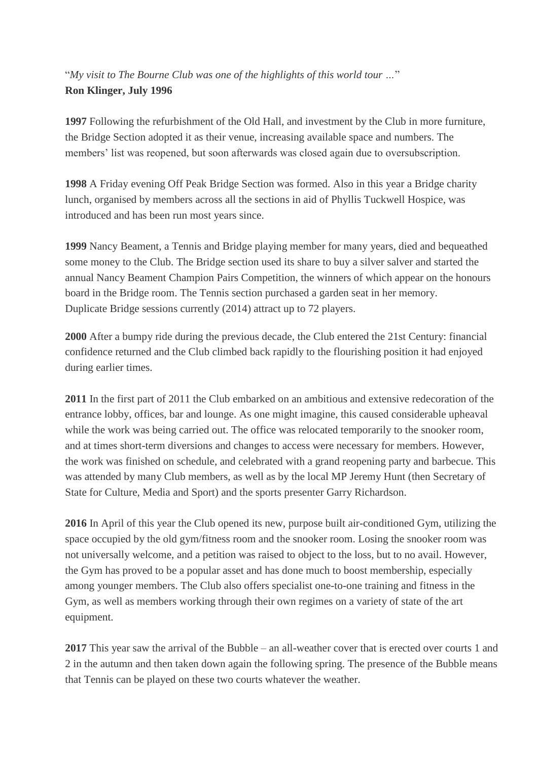#### "*My visit to The Bourne Club was one of the highlights of this world tour …*" **Ron Klinger, July 1996**

**1997** Following the refurbishment of the Old Hall, and investment by the Club in more furniture, the Bridge Section adopted it as their venue, increasing available space and numbers. The members' list was reopened, but soon afterwards was closed again due to oversubscription.

**1998** A Friday evening Off Peak Bridge Section was formed. Also in this year a Bridge charity lunch, organised by members across all the sections in aid of Phyllis Tuckwell Hospice, was introduced and has been run most years since.

**1999** Nancy Beament, a Tennis and Bridge playing member for many years, died and bequeathed some money to the Club. The Bridge section used its share to buy a silver salver and started the annual Nancy Beament Champion Pairs Competition, the winners of which appear on the honours board in the Bridge room. The Tennis section purchased a garden seat in her memory. Duplicate Bridge sessions currently (2014) attract up to 72 players.

**2000** After a bumpy ride during the previous decade, the Club entered the 21st Century: financial confidence returned and the Club climbed back rapidly to the flourishing position it had enjoyed during earlier times.

**2011** In the first part of 2011 the Club embarked on an ambitious and extensive redecoration of the entrance lobby, offices, bar and lounge. As one might imagine, this caused considerable upheaval while the work was being carried out. The office was relocated temporarily to the snooker room, and at times short-term diversions and changes to access were necessary for members. However, the work was finished on schedule, and celebrated with a grand reopening party and barbecue. This was attended by many Club members, as well as by the local MP Jeremy Hunt (then Secretary of State for Culture, Media and Sport) and the sports presenter Garry Richardson.

**2016** In April of this year the Club opened its new, purpose built air-conditioned Gym, utilizing the space occupied by the old gym/fitness room and the snooker room. Losing the snooker room was not universally welcome, and a petition was raised to object to the loss, but to no avail. However, the Gym has proved to be a popular asset and has done much to boost membership, especially among younger members. The Club also offers specialist one-to-one training and fitness in the Gym, as well as members working through their own regimes on a variety of state of the art equipment.

**2017** This year saw the arrival of the Bubble – an all-weather cover that is erected over courts 1 and 2 in the autumn and then taken down again the following spring. The presence of the Bubble means that Tennis can be played on these two courts whatever the weather.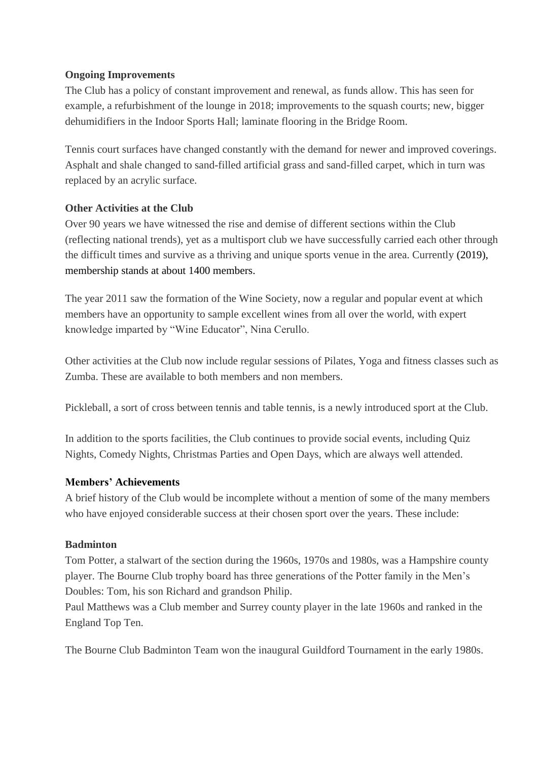#### **Ongoing Improvements**

The Club has a policy of constant improvement and renewal, as funds allow. This has seen for example, a refurbishment of the lounge in 2018; improvements to the squash courts; new, bigger dehumidifiers in the Indoor Sports Hall; laminate flooring in the Bridge Room.

Tennis court surfaces have changed constantly with the demand for newer and improved coverings. Asphalt and shale changed to sand-filled artificial grass and sand-filled carpet, which in turn was replaced by an acrylic surface.

#### **Other Activities at the Club**

Over 90 years we have witnessed the rise and demise of different sections within the Club (reflecting national trends), yet as a multisport club we have successfully carried each other through the difficult times and survive as a thriving and unique sports venue in the area. Currently (2019), membership stands at about 1400 members.

The year 2011 saw the formation of the Wine Society, now a regular and popular event at which members have an opportunity to sample excellent wines from all over the world, with expert knowledge imparted by "Wine Educator", Nina Cerullo.

Other activities at the Club now include regular sessions of Pilates, Yoga and fitness classes such as Zumba. These are available to both members and non members.

Pickleball, a sort of cross between tennis and table tennis, is a newly introduced sport at the Club.

In addition to the sports facilities, the Club continues to provide social events, including Quiz Nights, Comedy Nights, Christmas Parties and Open Days, which are always well attended.

#### **Members' Achievements**

A brief history of the Club would be incomplete without a mention of some of the many members who have enjoyed considerable success at their chosen sport over the years. These include:

#### **Badminton**

Tom Potter, a stalwart of the section during the 1960s, 1970s and 1980s, was a Hampshire county player. The Bourne Club trophy board has three generations of the Potter family in the Men's Doubles: Tom, his son Richard and grandson Philip.

Paul Matthews was a Club member and Surrey county player in the late 1960s and ranked in the England Top Ten.

The Bourne Club Badminton Team won the inaugural Guildford Tournament in the early 1980s.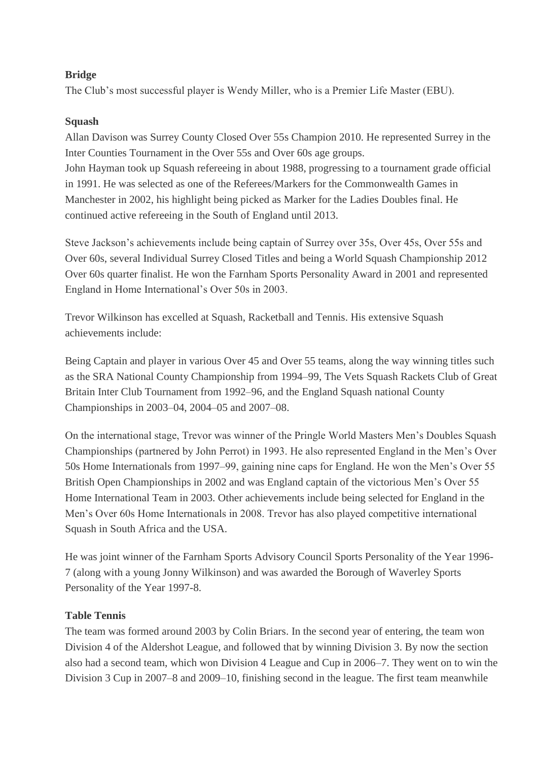#### **Bridge**

The Club's most successful player is Wendy Miller, who is a Premier Life Master (EBU).

#### **Squash**

Allan Davison was Surrey County Closed Over 55s Champion 2010. He represented Surrey in the Inter Counties Tournament in the Over 55s and Over 60s age groups. John Hayman took up Squash refereeing in about 1988, progressing to a tournament grade official in 1991. He was selected as one of the Referees/Markers for the Commonwealth Games in Manchester in 2002, his highlight being picked as Marker for the Ladies Doubles final. He continued active refereeing in the South of England until 2013.

Steve Jackson's achievements include being captain of Surrey over 35s, Over 45s, Over 55s and Over 60s, several Individual Surrey Closed Titles and being a World Squash Championship 2012 Over 60s quarter finalist. He won the Farnham Sports Personality Award in 2001 and represented England in Home International's Over 50s in 2003.

Trevor Wilkinson has excelled at Squash, Racketball and Tennis. His extensive Squash achievements include:

Being Captain and player in various Over 45 and Over 55 teams, along the way winning titles such as the SRA National County Championship from 1994–99, The Vets Squash Rackets Club of Great Britain Inter Club Tournament from 1992–96, and the England Squash national County Championships in 2003–04, 2004–05 and 2007–08.

On the international stage, Trevor was winner of the Pringle World Masters Men's Doubles Squash Championships (partnered by John Perrot) in 1993. He also represented England in the Men's Over 50s Home Internationals from 1997–99, gaining nine caps for England. He won the Men's Over 55 British Open Championships in 2002 and was England captain of the victorious Men's Over 55 Home International Team in 2003. Other achievements include being selected for England in the Men's Over 60s Home Internationals in 2008. Trevor has also played competitive international Squash in South Africa and the USA.

He was joint winner of the Farnham Sports Advisory Council Sports Personality of the Year 1996- 7 (along with a young Jonny Wilkinson) and was awarded the Borough of Waverley Sports Personality of the Year 1997-8.

#### **Table Tennis**

The team was formed around 2003 by Colin Briars. In the second year of entering, the team won Division 4 of the Aldershot League, and followed that by winning Division 3. By now the section also had a second team, which won Division 4 League and Cup in 2006–7. They went on to win the Division 3 Cup in 2007–8 and 2009–10, finishing second in the league. The first team meanwhile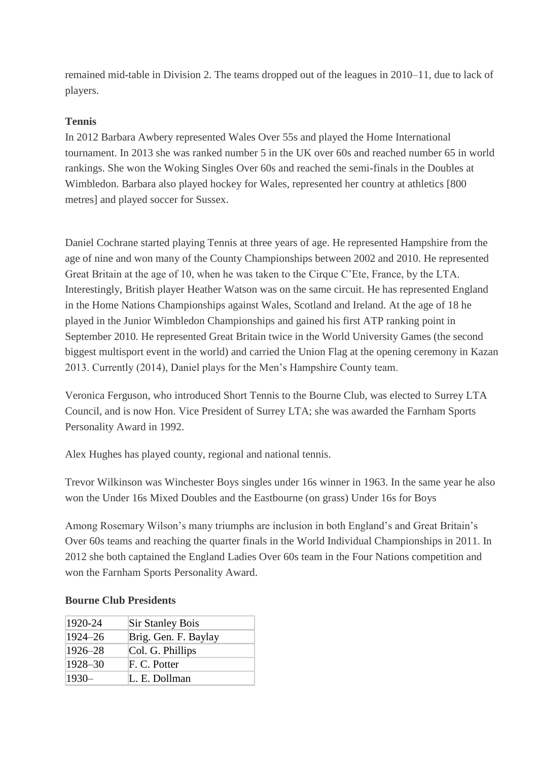remained mid-table in Division 2. The teams dropped out of the leagues in 2010–11, due to lack of players.

#### **Tennis**

In 2012 Barbara Awbery represented Wales Over 55s and played the Home International tournament. In 2013 she was ranked number 5 in the UK over 60s and reached number 65 in world rankings. She won the Woking Singles Over 60s and reached the semi-finals in the Doubles at Wimbledon. Barbara also played hockey for Wales, represented her country at athletics [800 metres] and played soccer for Sussex.

Daniel Cochrane started playing Tennis at three years of age. He represented Hampshire from the age of nine and won many of the County Championships between 2002 and 2010. He represented Great Britain at the age of 10, when he was taken to the Cirque C'Ete, France, by the LTA. Interestingly, British player Heather Watson was on the same circuit. He has represented England in the Home Nations Championships against Wales, Scotland and Ireland. At the age of 18 he played in the Junior Wimbledon Championships and gained his first ATP ranking point in September 2010. He represented Great Britain twice in the World University Games (the second biggest multisport event in the world) and carried the Union Flag at the opening ceremony in Kazan 2013. Currently (2014), Daniel plays for the Men's Hampshire County team.

Veronica Ferguson, who introduced Short Tennis to the Bourne Club, was elected to Surrey LTA Council, and is now Hon. Vice President of Surrey LTA; she was awarded the Farnham Sports Personality Award in 1992.

Alex Hughes has played county, regional and national tennis.

Trevor Wilkinson was Winchester Boys singles under 16s winner in 1963. In the same year he also won the Under 16s Mixed Doubles and the Eastbourne (on grass) Under 16s for Boys

Among Rosemary Wilson's many triumphs are inclusion in both England's and Great Britain's Over 60s teams and reaching the quarter finals in the World Individual Championships in 2011. In 2012 she both captained the England Ladies Over 60s team in the Four Nations competition and won the Farnham Sports Personality Award.

| 1920-24 | <b>Sir Stanley Bois</b> |
|---------|-------------------------|
| 1924-26 | Brig. Gen. F. Baylay    |
| 1926–28 | Col. G. Phillips        |
| 1928-30 | F. C. Potter            |
| $1930-$ | L. E. Dollman           |

#### **Bourne Club Presidents**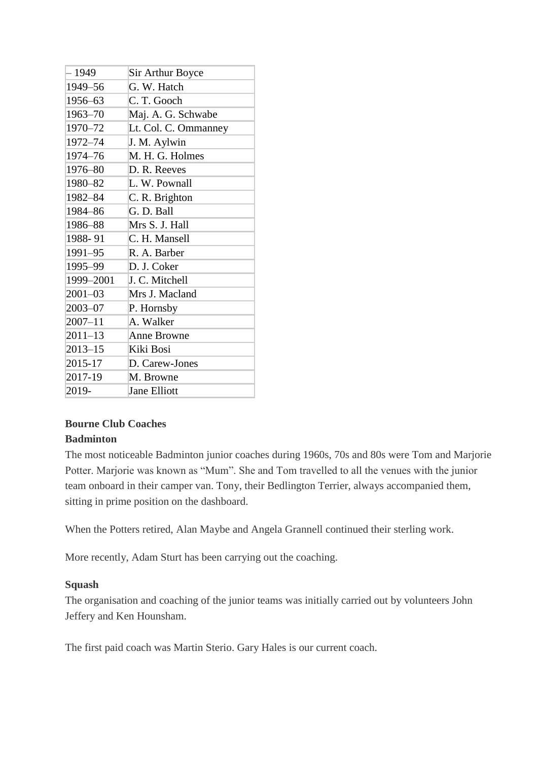| - 1949      | <b>Sir Arthur Boyce</b> |
|-------------|-------------------------|
| 1949-56     | G. W. Hatch             |
| 1956-63     | C. T. Gooch             |
| 1963-70     | Maj. A. G. Schwabe      |
| 1970-72     | Lt. Col. C. Ommanney    |
| 1972-74     | J. M. Aylwin            |
| 1974-76     | M. H. G. Holmes         |
| 1976-80     | D. R. Reeves            |
| 1980-82     | L. W. Pownall           |
| 1982-84     | C. R. Brighton          |
| 1984-86     | G. D. Ball              |
| 1986-88     | Mrs S. J. Hall          |
| 1988-91     | C. H. Mansell           |
| 1991-95     | R. A. Barber            |
| 1995-99     | D. J. Coker             |
| 1999-2001   | J. C. Mitchell          |
| $2001 - 03$ | Mrs J. Macland          |
| $2003 - 07$ | P. Hornsby              |
| $2007 - 11$ | A. Walker               |
| 2011–13     | <b>Anne Browne</b>      |
| $2013 - 15$ | Kiki Bosi               |
| 2015-17     | D. Carew-Jones          |
| 2017-19     | M. Browne               |
| 2019-       | <b>Jane Elliott</b>     |

### **Bourne Club Coaches**

#### **Badminton**

The most noticeable Badminton junior coaches during 1960s, 70s and 80s were Tom and Marjorie Potter. Marjorie was known as "Mum". She and Tom travelled to all the venues with the junior team onboard in their camper van. Tony, their Bedlington Terrier, always accompanied them, sitting in prime position on the dashboard.

When the Potters retired, Alan Maybe and Angela Grannell continued their sterling work.

More recently, Adam Sturt has been carrying out the coaching.

#### **Squash**

The organisation and coaching of the junior teams was initially carried out by volunteers John Jeffery and Ken Hounsham.

The first paid coach was Martin Sterio. Gary Hales is our current coach.